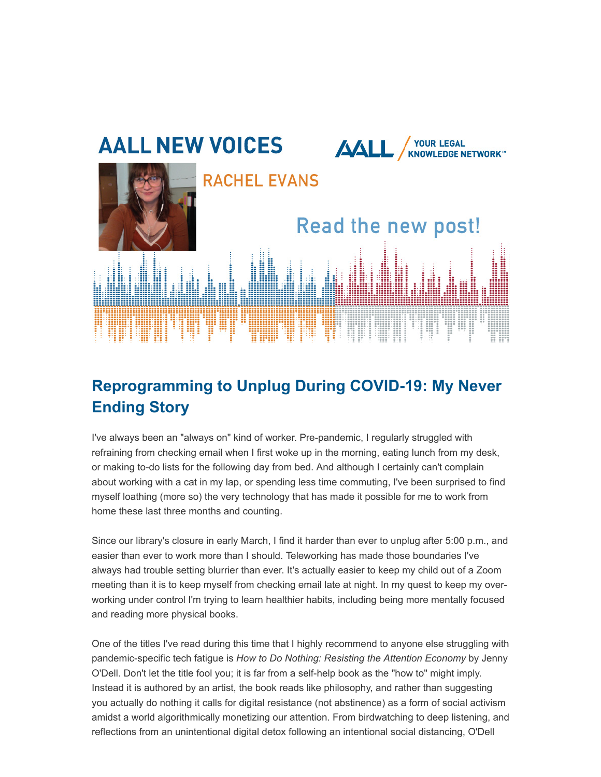

## **Reprogramming to Unplug During COVID-19: My Never Ending Story**

I've always been an "always on" kind of worker. Pre-pandemic, I regularly struggled with refraining from checking email when I first woke up in the morning, eating lunch from my desk, or making to-do lists for the following day from bed. And although I certainly can't complain about working with a cat in my lap, or spending less time commuting, I've been surprised to find myself loathing (more so) the very technology that has made it possible for me to work from home these last three months and counting.

Since our library's closure in early March, I find it harder than ever to unplug after 5:00 p.m., and easier than ever to work more than I should. Teleworking has made those boundaries I've always had trouble setting blurrier than ever. It's actually easier to keep my child out of a Zoom meeting than it is to keep myself from checking email late at night. In my quest to keep my overworking under control I'm trying to learn healthier habits, including being more mentally focused and reading more physical books.

One of the titles I've read during this time that I highly recommend to anyone else struggling with pandemic-specific tech fatigue is *How to Do Nothing: Resisting the Attention Economy* by Jenny O'Dell. Don't let the title fool you; it is far from a self-help book as the "how to" might imply. Instead it is authored by an artist, the book reads like philosophy, and rather than suggesting you actually do nothing it calls for digital resistance (not abstinence) as a form of social activism amidst a world algorithmically monetizing our attention. From birdwatching to deep listening, and reflections from an unintentional digital detox following an intentional social distancing, O'Dell